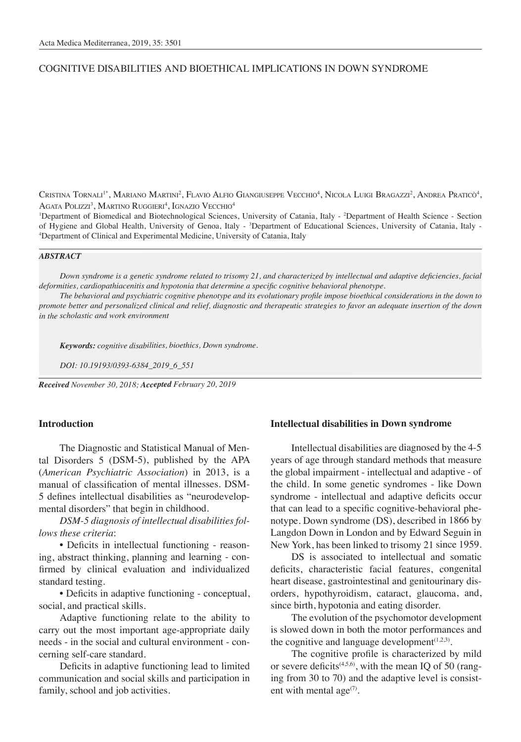## COGNITIVE DISABILITIES AND BIOETHICAL IMPLICATIONS IN DOWN SYNDROME

Cristina Tornali<sup>1\*</sup>, Mariano Martini<sup>2</sup>, Flavio Alfio Giangiuseppe Vecchio<sup>4</sup>, Nicola Luigi Bragazzi<sup>2</sup>, Andrea Praticò<sup>4</sup>, Agata Polizzi<sup>3</sup>, Martino Ruggieri<sup>4</sup>, Ignazio Vecchio<sup>4</sup>

<sup>1</sup>Department of Biomedical and Biotechnological Sciences, University of Catania, Italy - <sup>2</sup>Department of Health Science - Section of Hygiene and Global Health, University of Genoa, Italy - <sup>3</sup>Department of Educational Sciences, University of Catania, Italy - <sup>4</sup>Department of Clinical and Experimental Medicine, University of Catania, Italy Department of Clinical and Experimental Medicine, University of Catania, Italy

#### *ABSTRACT*

*Down syndrome is a genetic syndrome related to trisomy 21, and characterized by intellectual and adaptive deficiencies, facial deformities, cardiopathiacenitis and hypotonia that determine a specific cognitive behavioral phenotype.*

*The behavioral and psychiatric cognitive phenotype and its evolutionary profile impose bioethical considerations in the down to promote better and personalized clinical and relief, diagnostic and therapeutic strategies to favor an adequate insertion of the down in the scholastic and work environment*

*Keywords: cognitive disabilities, bioethics, Down syndrome.*

*DOI: 10.19193/0393-6384\_2019\_6\_551*

*Received November 30, 2018; Accepted February 20, 2019*

### **Introduction**

The Diagnostic and Statistical Manual of Mental Disorders 5 (DSM-5), published by the APA (*American Psychiatric Association*) in 2013, is a manual of classification of mental illnesses. DSM-5 defines intellectual disabilities as "neurodevelopmental disorders" that begin in childhood.

*DSM-5 diagnosis of intellectual disabilities follows these criteria*:

• Deficits in intellectual functioning - reasoning, abstract thinking, planning and learning - confirmed by clinical evaluation and individualized standard testing.

• Deficits in adaptive functioning - conceptual, social, and practical skills.

Adaptive functioning relate to the ability to carry out the most important age-appropriate daily needs - in the social and cultural environment - concerning self-care standard.

Deficits in adaptive functioning lead to limited communication and social skills and participation in family, school and job activities.

### **Intellectual disabilities in Down syndrome**

Intellectual disabilities are diagnosed by the 4-5 years of age through standard methods that measure the global impairment - intellectual and adaptive - of the child. In some genetic syndromes - like Down syndrome - intellectual and adaptive deficits occur that can lead to a specific cognitive-behavioral phenotype. Down syndrome (DS), described in 1866 by Langdon Down in London and by Edward Seguin in New York, has been linked to trisomy 21 since 1959.

DS is associated to intellectual and somatic deficits, characteristic facial features, congenital heart disease, gastrointestinal and genitourinary disorders, hypothyroidism, cataract, glaucoma, and, since birth, hypotonia and eating disorder.

The evolution of the psychomotor development is slowed down in both the motor performances and the cognitive and language development $(1,2,3)$ .

The cognitive profile is characterized by mild or severe deficits<sup> $(4,5,6)$ </sup>, with the mean IQ of 50 (ranging from 30 to 70) and the adaptive level is consistent with mental age $(7)$ .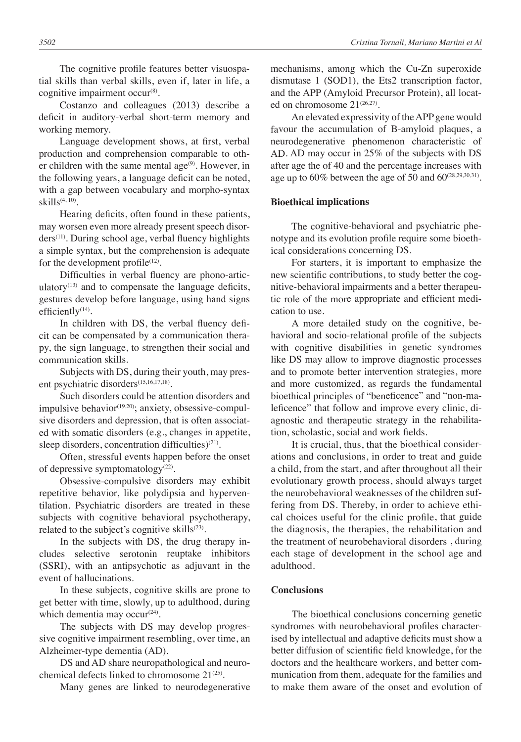Costanzo and colleagues (2013) describe a deficit in auditory-verbal short-term memory and working memory.

Language development shows, at first, verbal production and comprehension comparable to other children with the same mental age $(9)$ . However, in the following years, a language deficit can be noted, with a gap between vocabulary and morpho-syntax  $skills^{(4, 10)}$ .

Hearing deficits, often found in these patients, may worsen even more already present speech disorders<sup>(11)</sup>. During school age, verbal fluency highlights a simple syntax, but the comprehension is adequate for the development profile $(12)$ .

Difficulties in verbal fluency are phono-articulatory $(13)$  and to compensate the language deficits, gestures develop before language, using hand signs efficiently<sup>(14)</sup>.

In children with DS, the verbal fluency deficit can be compensated by a communication therapy, the sign language, to strengthen their social and communication skills.

Subjects with DS, during their youth, may present psychiatric disorders(15,16,17,18).

Such disorders could be attention disorders and impulsive behavior<sup>(19,20)</sup>; anxiety, obsessive-compulsive disorders and depression, that is often associated with somatic disorders (e.g., changes in appetite, sleep disorders, concentration difficulties)<sup>(21)</sup>.

Often, stressful events happen before the onset of depressive symptomatology $(22)$ .

Obsessive-compulsive disorders may exhibit repetitive behavior, like polydipsia and hyperventilation. Psychiatric disorders are treated in these subjects with cognitive behavioral psychotherapy, related to the subject's cognitive skills $(23)$ .

In the subjects with DS, the drug therapy includes selective serotonin reuptake inhibitors (SSRI), with an antipsychotic as adjuvant in the event of hallucinations.

In these subjects, cognitive skills are prone to get better with time, slowly, up to adulthood, during which dementia may occur<sup>(24)</sup>.

The subjects with DS may develop progressive cognitive impairment resembling, over time, an Alzheimer-type dementia (AD).

DS and AD share neuropathological and neurochemical defects linked to chromosome  $21^{\frac{(25)}{2}}$ .

Many genes are linked to neurodegenerative

mechanisms, among which the Cu-Zn superoxide dismutase 1 (SOD1), the Ets2 transcription factor, and the APP (Amyloid Precursor Protein), all located on chromosome  $21^{(26,27)}$ .

An elevated expressivity of the APP gene would favour the accumulation of B-amyloid plaques, a neurodegenerative phenomenon characteristic of AD. AD may occur in 25% of the subjects with DS after age the of 40 and the percentage increases with age up to  $60\%$  between the age of 50 and  $60^{\frac{(28,29,30,31)}{2}}$ .

# **Bioethical implications**

The cognitive-behavioral and psychiatric phenotype and its evolution profile require some bioethical considerations concerning DS.

For starters, it is important to emphasize the new scientific contributions, to study better the cognitive-behavioral impairments and a better therapeutic role of the more appropriate and efficient medication to use.

A more detailed study on the cognitive, behavioral and socio-relational profile of the subjects with cognitive disabilities in genetic syndromes like DS may allow to improve diagnostic processes and to promote better intervention strategies, more and more customized, as regards the fundamental bioethical principles of "beneficence" and "non-maleficence" that follow and improve every clinic, diagnostic and therapeutic strategy in the rehabilitation, scholastic, social and work fields.

It is crucial, thus, that the bioethical considerations and conclusions, in order to treat and guide a child, from the start, and after throughout all their evolutionary growth process, should always target the neurobehavioral weaknesses of the children suffering from DS. Thereby, in order to achieve ethical choices useful for the clinic profile, that guide the diagnosis, the therapies, the rehabilitation and the treatment of neurobehavioral disorders , during each stage of development in the school age and adulthood.

## **Conclusions**

The bioethical conclusions concerning genetic syndromes with neurobehavioral profiles characterised by intellectual and adaptive deficits must show a better diffusion of scientific field knowledge, for the doctors and the healthcare workers, and better communication from them, adequate for the families and to make them aware of the onset and evolution of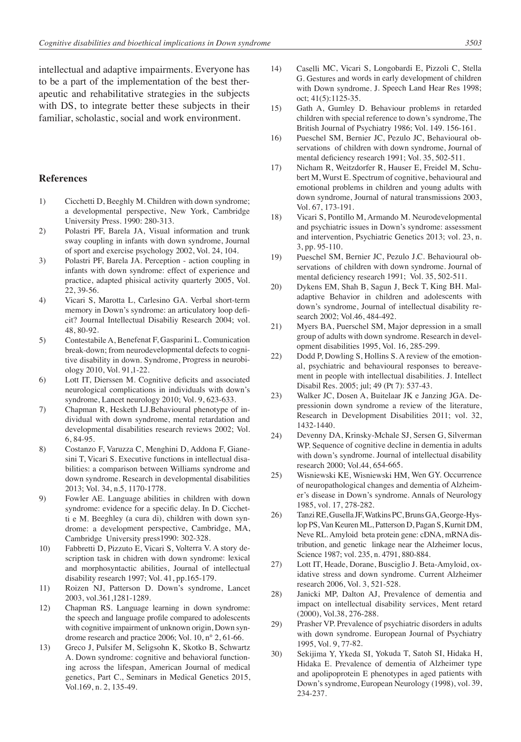intellectual and adaptive impairments. Everyone has to be a part of the implementation of the best therapeutic and rehabilitative strategies in the subjects with DS, to integrate better these subjects in their familiar, scholastic, social and work environment.

#### **References**

- 1) Cicchetti D, Beeghly M. Children with down syndrome; a developmental perspective, New York, Cambridge University Press. 1990: 280-313.
- 2) Polastri PF, Barela JA, Visual information and trunk sway coupling in infants with down syndrome, Journal of sport and exercise psychology 2002, Vol. 24, 104.
- 3) Polastri PF, Barela JA. Perception action coupling in infants with down syndrome: effect of experience and practice, adapted phisical activity quarterly 2005, Vol. 22, 39-56.
- 4) Vicari S, Marotta L, Carlesino GA. Verbal short-term memory in Down's syndrome: an articulatory loop deficit? Journal Intellectual Disabiliy Research 2004; vol. 48, 80-92.
- 5) Contestabile A, Benefenat F, Gasparini L. Comunication break-down; from neurodevelopmental defects to cognitive disability in down. Syndrome, Progress in neurobiology 2010, Vol. 91,1-22.
- 6) Lott IT, Dierssen M. Cognitive deficits and associated neurological complications in individuals with down's syndrome, Lancet neurology 2010; Vol. 9, 623-633.
- 7) Chapman R, Hesketh LJ.Behavioural phenotype of individual with down syndrome, mental retardation and developmental disabilities research reviews 2002; Vol. 6, 84-95.
- 8) Costanzo F, Varuzza C, Menghini D, Addona F, Gianesini T, Vicari S. Executive functions in intellectual disabilities: a comparison between Williams syndrome and down syndrome. Research in developmental disabilities 2013; Vol. 34, n.5, 1170-1778.
- 9) Fowler AE. Language abilities in children with down syndrome: evidence for a specific delay. In D. Cicchetti e M. Beeghley (a cura di), children with down syndrome: a development perspective, Cambridge, MA, Cambridge University press1990: 302-328.
- 10) Fabbretti D, Pizzuto E, Vicari S, Volterra V. A story description task in chidren with down syndrome: lexical and morphosyntactic abilities, Journal of intellectual disability research 1997; Vol. 41, pp.165-179.
- 11) Roizen NJ, Patterson D. Down's syndrome, Lancet 2003, vol.361,1281-1289.
- 12) Chapman RS. Language learning in down syndrome: the speech and language profile compared to adolescents with cognitive impairment of unknown origin, Down syndrome research and practice 2006; Vol. 10, n° 2, 61-66.
- 13) Greco J, Pulsifer M, Seligsohn K, Skotko B, Schwartz A. Down syndrome: cognitive and behavioral functioning across the lifespan, American Journal of medical genetics, Part C., Seminars in Medical Genetics 2015, Vol.169, n. 2, 135-49.
- 14) Caselli MC, Vicari S, Longobardi E, Pizzoli C, Stella G. Gestures and words in early development of children with Down syndrome. J. Speech Land Hear Res 1998; oct; 41(5):1125-35.
- 15) Gath A, Gumley D. Behaviour problems in retarded children with special reference to down's syndrome, The British Journal of Psychiatry 1986; Vol. 149. 156-161.
- 16) Pueschel SM, Bernier JC, Pezulo JC, Behavioural observations of children with down syndrome, Journal of mental deficiency research 1991; Vol. 35, 502-511.
- 17) Nicham R, Weitzdorfer R, Hauser E, Freidel M, Schubert M, Wurst E. Spectrum of cognitive, behavioural and emotional problems in children and young adults with down syndrome, Journal of natural transmissions 2003, Vol. 67, 173-191.
- 18) Vicari S, Pontillo M, Armando M. Neurodevelopmental and psychiatric issues in Down's syndrome: assessment and intervention, Psychiatric Genetics 2013; vol. 23, n. 3, pp. 95-110.
- 19) Pueschel SM, Bernier JC, Pezulo J.C. Behavioural observations of children with down syndrome. Journal of mental deficiency research 1991; Vol. 35, 502-511.
- 20) Dykens EM, Shah B, Sagun J, Beck T, King BH. Maladaptive Behavior in children and adolescents with down's syndrome, Journal of intellectual disability research 2002; Vol.46, 484-492.
- 21) Myers BA, Puerschel SM, Major depression in a small group of adults with down syndrome. Research in development disabilities 1995, Vol. 16, 285-299.
- 22) Dodd P, Dowling S, Hollins S. A review of the emotional, psychiatric and behavioural responses to bereavement in people with intellectual disabilities. J. Intellect Disabil Res. 2005; jul; 49 (Pt 7): 537-43.
- 23) Walker JC, Dosen A, Buitelaar JK e Janzing JGA. Depressionin down syndrome a review of the literature, Research in Development Disabilities 2011; vol. 32, 1432-1440.
- 24) Devenny DA, Krinsky-Mchale SJ, Sersen G, Silverman WP. Sequence of cognitive decline in dementia in adults with down's syndrome. Journal of intellectual disability research 2000; Vol.44, 654-665.
- 25) Wisniewski KE, Wisniewski HM, Wen GY. Occurrence of neuropathological changes and dementia of Alzheimer's disease in Down's syndrome. Annals of Neurology 1985, vol. 17, 278-282.
- 26) Tanzi RE, Gusella JF, Watkins PC, Bruns GA, George-Hyslop PS, Van Keuren ML, Patterson D, Pagan S, Kurnit DM, Neve RL. Amyloid beta protein gene: cDNA, mRNA distribution, and genetic linkage near the Alzheimer locus, Science 1987; vol. 235, n. 4791, 880-884.
- 27) Lott IT, Heade, Dorane, Busciglio J. Beta-Amyloid, oxidative stress and down syndrome. Current Alzheimer research 2006, Vol. 3, 521-528.
- 28) Janicki MP, Dalton AJ, Prevalence of dementia and impact on intellectual disability services, Ment retard (2000), Vol.38, 276-288.
- 29) Prasher VP. Prevalence of psychiatric disorders in adults with down syndrome. European Journal of Psychiatry 1995, Vol. 9, 77-82.
- 30) Sekijima Y, Ykeda SI, Yokuda T, Satoh SI, Hidaka H, Hidaka E. Prevalence of dementia of Alzheimer type and apolipoprotein E phenotypes in aged patients with Down's syndrome, European Neurology (1998), vol. 39, 234-237.